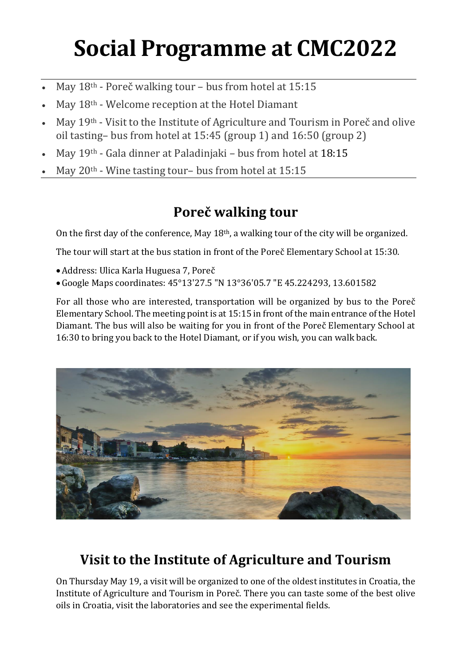# **Social Programme at CMC2022**

- May 18<sup>th</sup> Poreč walking tour bus from hotel at 15:15
- May 18th Welcome reception at the Hotel Diamant
- May 19th Visit to the Institute of Agriculture and Tourism in Poreč and olive oil tasting– bus from hotel at 15:45 (group 1) and 16:50 (group 2)
- May 19th Gala dinner at Paladinjaki bus from hotel at 18:15
- May 20<sup>th</sup> Wine tasting tour- bus from hotel at 15:15

## **Poreč walking tour**

On the first day of the conference, May 18th, a walking tour of the city will be organized.

The tour will start at the bus station in front of the Poreč Elementary School at 15:30.

- •Address: Ulica Karla Huguesa 7, Poreč
- •Google Maps coordinates: 45°13'27.5 "N 13°36'05.7 "E 45.224293, 13.601582

For all those who are interested, transportation will be organized by bus to the Poreč Elementary School. The meeting point is at 15:15 in front of the main entrance of the Hotel Diamant. The bus will also be waiting for you in front of the Poreč Elementary School at 16:30 to bring you back to the Hotel Diamant, or if you wish, you can walk back.



## **Visit to the Institute of Agriculture and Tourism**

On Thursday May 19, a visit will be organized to one of the oldest institutes in Croatia, the Institute of Agriculture and Tourism in Poreč. There you can taste some of the best olive oils in Croatia, visit the laboratories and see the experimental fields.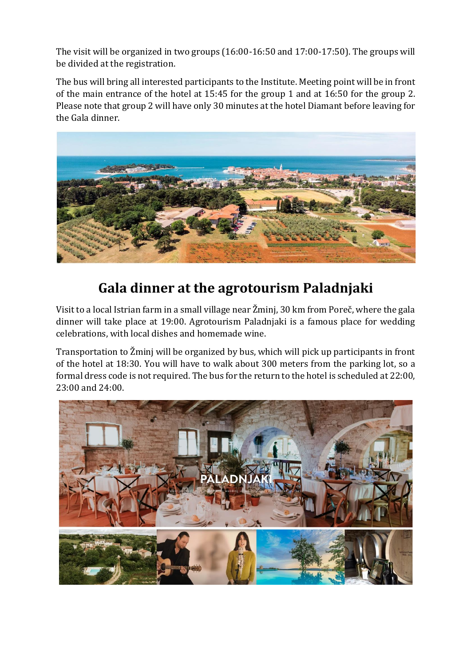The visit will be organized in two groups (16:00-16:50 and 17:00-17:50). The groups will be divided at the registration.

The bus will bring all interested participants to the Institute. Meeting point will be in front of the main entrance of the hotel at 15:45 for the group 1 and at 16:50 for the group 2. Please note that group 2 will have only 30 minutes at the hotel Diamant before leaving for the Gala dinner.



### **Gala dinner at the agrotourism Paladnjaki**

Visit to a local Istrian farm in a small village near Žminj, 30 km from Poreč, where the gala dinner will take place at 19:00. Agrotourism Paladnjaki is a famous place for wedding celebrations, with local dishes and homemade wine.

Transportation to Žminj will be organized by bus, which will pick up participants in front of the hotel at 18:30. You will have to walk about 300 meters from the parking lot, so a formal dress code is not required. The bus for the return to the hotel is scheduled at 22:00, 23:00 and 24:00.